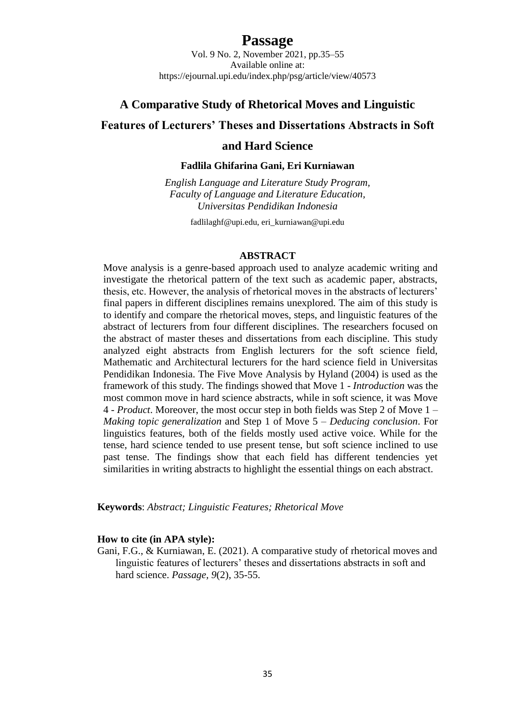# **Passage**

Vol. 9 No. 2, November 2021, pp.35–55 Available online at: https://ejournal.upi.edu/index.php/psg/article/view/40573

## **A Comparative Study of Rhetorical Moves and Linguistic**

# **Features of Lecturers' Theses and Dissertations Abstracts in Soft**

# **and Hard Science**

### **Fadlila Ghifarina Gani, Eri Kurniawan**

*English Language and Literature Study Program, Faculty of Language and Literature Education, Universitas Pendidikan Indonesia*

[fadlilaghf@upi.edu,](mailto:fadlilaghf@upi.edu) eri\_kurniawan@upi.edu

#### **ABSTRACT**

Move analysis is a genre-based approach used to analyze academic writing and investigate the rhetorical pattern of the text such as academic paper, abstracts, thesis, etc. However, the analysis of rhetorical moves in the abstracts of lecturers' final papers in different disciplines remains unexplored. The aim of this study is to identify and compare the rhetorical moves, steps, and linguistic features of the abstract of lecturers from four different disciplines. The researchers focused on the abstract of master theses and dissertations from each discipline. This study analyzed eight abstracts from English lecturers for the soft science field, Mathematic and Architectural lecturers for the hard science field in Universitas Pendidikan Indonesia. The Five Move Analysis by Hyland (2004) is used as the framework of this study. The findings showed that Move 1 - *Introduction* was the most common move in hard science abstracts, while in soft science, it was Move 4 - *Product*. Moreover, the most occur step in both fields was Step 2 of Move 1 – *Making topic generalization* and Step 1 of Move 5 – *Deducing conclusion*. For linguistics features, both of the fields mostly used active voice. While for the tense, hard science tended to use present tense, but soft science inclined to use past tense. The findings show that each field has different tendencies yet similarities in writing abstracts to highlight the essential things on each abstract.

**Keywords**: *Abstract; Linguistic Features; Rhetorical Move*

#### **How to cite (in APA style):**

Gani, F.G., & Kurniawan, E. (2021). A comparative study of rhetorical moves and linguistic features of lecturers' theses and dissertations abstracts in soft and hard science. *Passage, 9*(2), 35-55.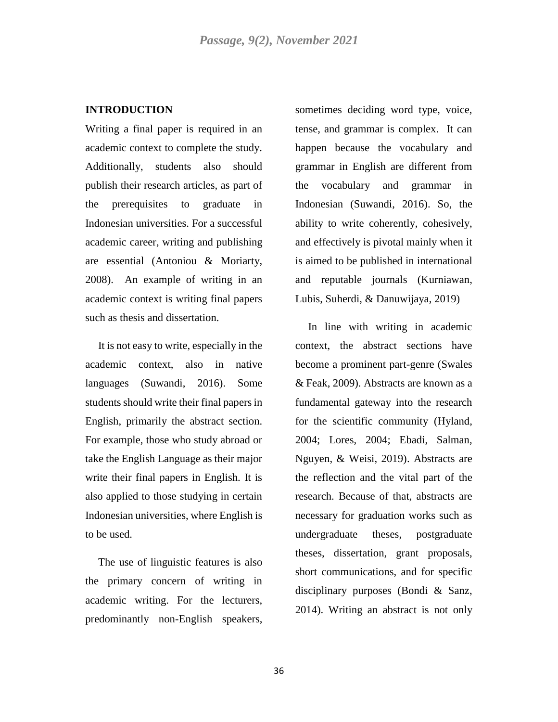### **INTRODUCTION**

Writing a final paper is required in an academic context to complete the study. Additionally, students also should publish their research articles, as part of the prerequisites to graduate in Indonesian universities. For a successful academic career, writing and publishing are essential (Antoniou & Moriarty, 2008). An example of writing in an academic context is writing final papers such as thesis and dissertation.

It is not easy to write, especially in the academic context, also in native languages (Suwandi, 2016). Some students should write their final papers in English, primarily the abstract section. For example, those who study abroad or take the English Language as their major write their final papers in English. It is also applied to those studying in certain Indonesian universities, where English is to be used.

The use of linguistic features is also the primary concern of writing in academic writing. For the lecturers, predominantly non-English speakers,

sometimes deciding word type, voice, tense, and grammar is complex. It can happen because the vocabulary and grammar in English are different from the vocabulary and grammar in Indonesian (Suwandi, 2016). So, the ability to write coherently, cohesively, and effectively is pivotal mainly when it is aimed to be published in international and reputable journals (Kurniawan, Lubis, Suherdi, & Danuwijaya, 2019)

In line with writing in academic context, the abstract sections have become a prominent part-genre (Swales & Feak, 2009). Abstracts are known as a fundamental gateway into the research for the scientific community (Hyland, 2004; Lores, 2004; Ebadi, Salman, Nguyen, & Weisi, 2019). Abstracts are the reflection and the vital part of the research. Because of that, abstracts are necessary for graduation works such as undergraduate theses, postgraduate theses, dissertation, grant proposals, short communications, and for specific disciplinary purposes (Bondi & Sanz, 2014). Writing an abstract is not only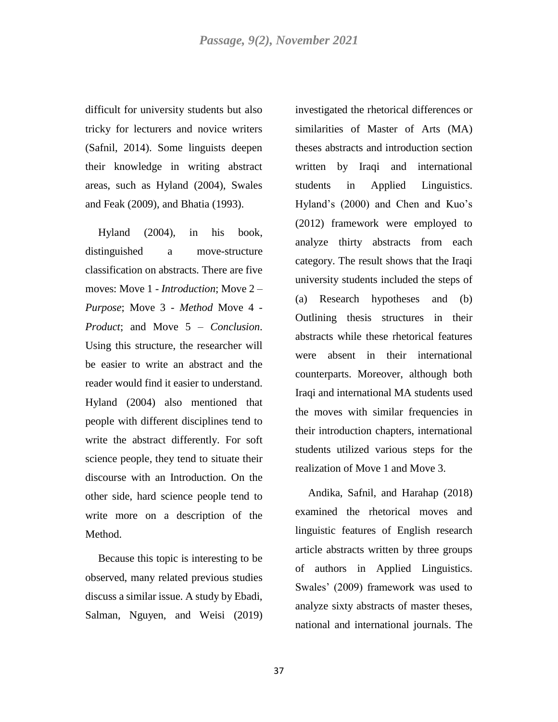difficult for university students but also tricky for lecturers and novice writers (Safnil, 2014). Some linguists deepen their knowledge in writing abstract areas, such as Hyland (2004), Swales and Feak (2009), and Bhatia (1993).

Hyland (2004), in his book, distinguished a move-structure classification on abstracts. There are five moves: Move 1 - *Introduction*; Move 2 – *Purpose*; Move 3 - *Method* Move 4 - *Product*; and Move 5 – *Conclusion*. Using this structure, the researcher will be easier to write an abstract and the reader would find it easier to understand. Hyland (2004) also mentioned that people with different disciplines tend to write the abstract differently. For soft science people, they tend to situate their discourse with an Introduction. On the other side, hard science people tend to write more on a description of the Method.

Because this topic is interesting to be observed, many related previous studies discuss a similar issue. A study by Ebadi, Salman, Nguyen, and Weisi (2019) investigated the rhetorical differences or similarities of Master of Arts (MA) theses abstracts and introduction section written by Iraqi and international students in Applied Linguistics. Hyland's (2000) and Chen and Kuo's (2012) framework were employed to analyze thirty abstracts from each category. The result shows that the Iraqi university students included the steps of (a) Research hypotheses and (b) Outlining thesis structures in their abstracts while these rhetorical features were absent in their international counterparts. Moreover, although both Iraqi and international MA students used the moves with similar frequencies in their introduction chapters, international students utilized various steps for the realization of Move 1 and Move 3.

Andika, Safnil, and Harahap (2018) examined the rhetorical moves and linguistic features of English research article abstracts written by three groups of authors in Applied Linguistics. Swales' (2009) framework was used to analyze sixty abstracts of master theses, national and international journals. The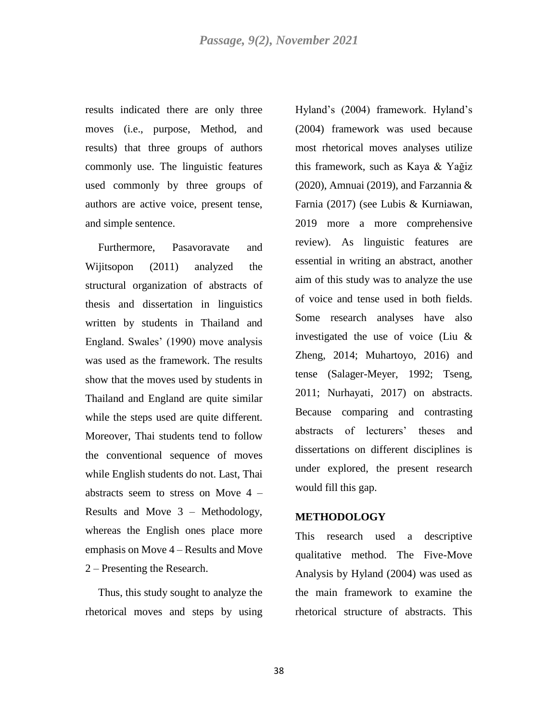results indicated there are only three moves (i.e., purpose, Method, and results) that three groups of authors commonly use. The linguistic features used commonly by three groups of authors are active voice, present tense, and simple sentence.

Furthermore, Pasavoravate and Wijitsopon (2011) analyzed the structural organization of abstracts of thesis and dissertation in linguistics written by students in Thailand and England. Swales' (1990) move analysis was used as the framework. The results show that the moves used by students in Thailand and England are quite similar while the steps used are quite different. Moreover, Thai students tend to follow the conventional sequence of moves while English students do not. Last, Thai abstracts seem to stress on Move 4 – Results and Move 3 – Methodology, whereas the English ones place more emphasis on Move 4 – Results and Move 2 – Presenting the Research.

Thus, this study sought to analyze the rhetorical moves and steps by using Hyland's (2004) framework. Hyland's (2004) framework was used because most rhetorical moves analyses utilize this framework, such as Kaya & Yağiz (2020), Amnuai (2019), and Farzannia  $&$ Farnia (2017) (see Lubis & Kurniawan, 2019 more a more comprehensive review). As linguistic features are essential in writing an abstract, another aim of this study was to analyze the use of voice and tense used in both fields. Some research analyses have also investigated the use of voice (Liu & Zheng, 2014; Muhartoyo, 2016) and tense (Salager-Meyer, 1992; Tseng, 2011; Nurhayati, 2017) on abstracts. Because comparing and contrasting abstracts of lecturers' theses and dissertations on different disciplines is under explored, the present research would fill this gap.

#### **METHODOLOGY**

This research used a descriptive qualitative method. The Five-Move Analysis by Hyland (2004) was used as the main framework to examine the rhetorical structure of abstracts. This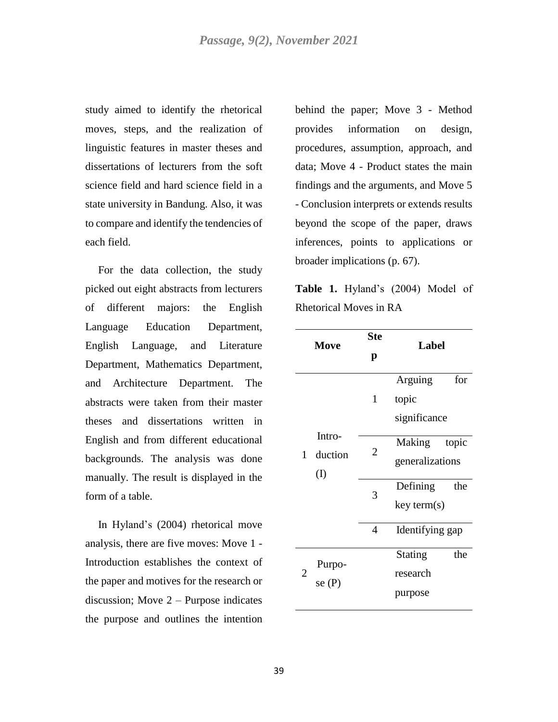study aimed to identify the rhetorical moves, steps, and the realization of linguistic features in master theses and dissertations of lecturers from the soft science field and hard science field in a state university in Bandung. Also, it was to compare and identify the tendencies of each field.

For the data collection, the study picked out eight abstracts from lecturers of different majors: the English Language Education Department, English Language, and Literature Department, Mathematics Department, and Architecture Department. The abstracts were taken from their master theses and dissertations written in English and from different educational backgrounds. The analysis was done manually. The result is displayed in the form of a table.

In Hyland's (2004) rhetorical move analysis, there are five moves: Move 1 - Introduction establishes the context of the paper and motives for the research or discussion; Move 2 – Purpose indicates the purpose and outlines the intention behind the paper; Move 3 - Method provides information on design, procedures, assumption, approach, and data; Move 4 - Product states the main findings and the arguments, and Move 5 - Conclusion interprets or extends results beyond the scope of the paper, draws inferences, points to applications or broader implications (p. 67).

**Table 1.** Hyland's (2004) Model of Rhetorical Moves in RA

|                | Move                     | <b>Ste</b><br>p | Label                                        |
|----------------|--------------------------|-----------------|----------------------------------------------|
|                |                          | $\mathbf{1}$    | for<br>Arguing<br>topic<br>significance      |
| 1              | Intro-<br>duction<br>(I) | 2               | Making<br>topic<br>generalizations           |
|                |                          | 3               | Defining<br>the<br>key term(s)               |
|                |                          | $\overline{4}$  | Identifying gap                              |
| $\overline{2}$ | Purpo-<br>se $(P)$       |                 | the<br><b>Stating</b><br>research<br>purpose |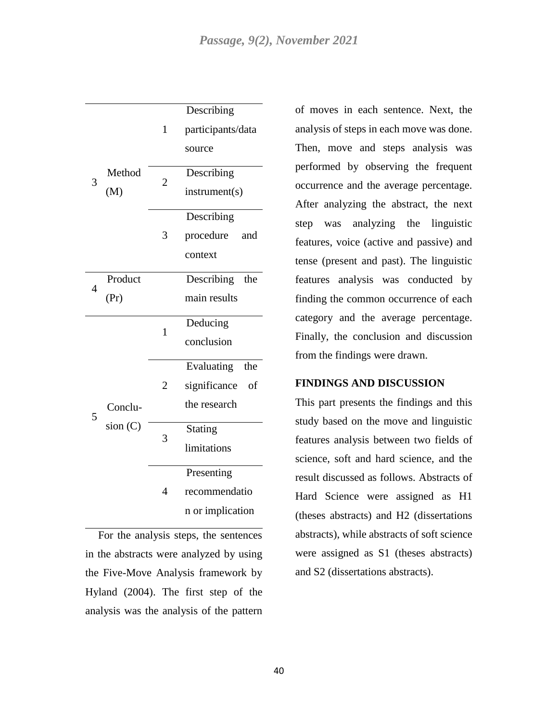|   |         |                | Describing         |
|---|---------|----------------|--------------------|
|   |         | 1              | participants/data  |
|   |         |                | source             |
|   | Method  | $\overline{2}$ | Describing         |
| 3 | (M)     |                | instrument(s)      |
|   |         |                | Describing         |
|   |         | 3              | procedure<br>and   |
|   |         |                | context            |
|   | Product |                | Describing<br>the  |
| 4 | (Pr)    |                | main results       |
|   |         | $\mathbf{1}$   | Deducing           |
|   |         |                | conclusion         |
|   |         |                | Evaluating<br>the  |
|   |         | $\overline{2}$ | significance<br>of |
| 5 | Conclu- |                | the research       |
|   | sion(C) | 3              | Stating            |
|   |         |                | limitations        |
|   |         |                | Presenting         |
|   |         | 4              | recommendatio      |
|   |         |                | n or implication   |

For the analysis steps, the sentences in the abstracts were analyzed by using the Five-Move Analysis framework by Hyland (2004). The first step of the analysis was the analysis of the pattern

of moves in each sentence. Next, the analysis of steps in each move was done. Then, move and steps analysis was performed by observing the frequent occurrence and the average percentage. After analyzing the abstract, the next step was analyzing the linguistic features, voice (active and passive) and tense (present and past). The linguistic features analysis was conducted by finding the common occurrence of each category and the average percentage. Finally, the conclusion and discussion from the findings were drawn.

#### **FINDINGS AND DISCUSSION**

This part presents the findings and this study based on the move and linguistic features analysis between two fields of science, soft and hard science, and the result discussed as follows. Abstracts of Hard Science were assigned as H1 (theses abstracts) and H2 (dissertations abstracts), while abstracts of soft science were assigned as S1 (theses abstracts) and S2 (dissertations abstracts).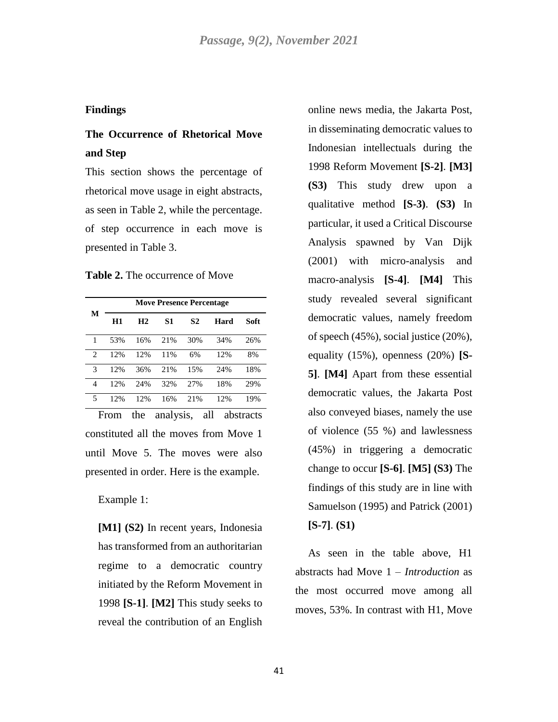## **Findings**

# **The Occurrence of Rhetorical Move and Step**

This section shows the percentage of rhetorical move usage in eight abstracts, as seen in Table 2, while the percentage. of step occurrence in each move is presented in Table 3.

**Table 2.** The occurrence of Move

|                |     |                |     | <b>Move Presence Percentage</b> |      |      |
|----------------|-----|----------------|-----|---------------------------------|------|------|
| М              | H1  | H <sub>2</sub> | S1  | S2                              | Hard | Soft |
| 1              | 53% | 16%            | 21% | 30%                             | 34%  | 26%  |
| $\overline{c}$ | 12% | 12%            | 11% | 6%                              | 12%  | 8%   |
| 3              | 12% | 36%            | 21% | 15%                             | 24%  | 18%  |
| 4              | 12% | 24%            | 32% | 2.7%                            | 18%  | 29%  |
| 5              | 12% | 12%            | 16% | 21%                             | 12%  | 19%  |

From the analysis, all abstracts constituted all the moves from Move 1 until Move 5. The moves were also presented in order. Here is the example.

Example 1:

**[M1] (S2)** In recent years, Indonesia has transformed from an authoritarian regime to a democratic country initiated by the Reform Movement in 1998 **[S-1]**. **[M2]** This study seeks to reveal the contribution of an English

online news media, the Jakarta Post, in disseminating democratic values to Indonesian intellectuals during the 1998 Reform Movement **[S-2]**. **[M3] (S3)** This study drew upon a qualitative method **[S-3)**. **(S3)** In particular, it used a Critical Discourse Analysis spawned by Van Dijk (2001) with micro-analysis and macro-analysis **[S-4]**. **[M4]** This study revealed several significant democratic values, namely freedom of speech (45%), social justice (20%), equality (15%), openness (20%) **[S-5]**. **[M4]** Apart from these essential democratic values, the Jakarta Post also conveyed biases, namely the use of violence (55 %) and lawlessness (45%) in triggering a democratic change to occur **[S-6]**. **[M5] (S3)** The findings of this study are in line with Samuelson (1995) and Patrick (2001) **[S-7]**. **(S1)**

As seen in the table above, H1 abstracts had Move 1 – *Introduction* as the most occurred move among all moves, 53%. In contrast with H1, Move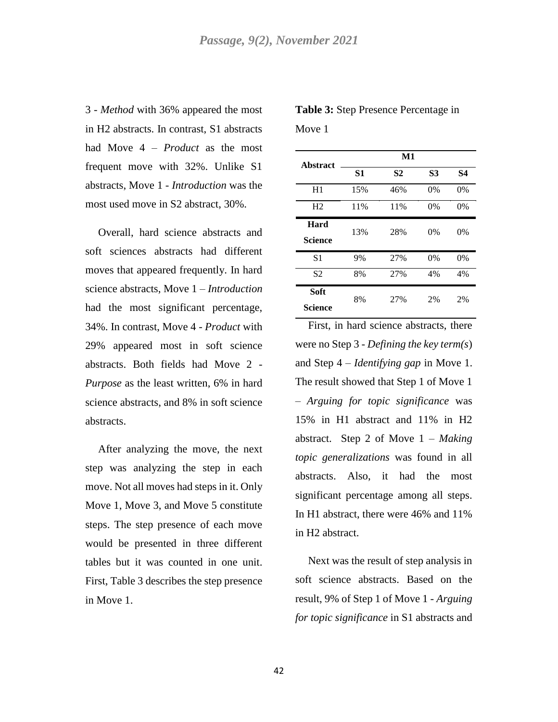3 - *Method* with 36% appeared the most in H2 abstracts. In contrast, S1 abstracts had Move 4 – *Product* as the most frequent move with 32%. Unlike S1 abstracts, Move 1 - *Introduction* was the most used move in S2 abstract, 30%.

Overall, hard science abstracts and soft sciences abstracts had different moves that appeared frequently. In hard science abstracts, Move 1 – *Introduction*  had the most significant percentage, 34%. In contrast, Move 4 - *Product* with 29% appeared most in soft science abstracts. Both fields had Move 2 - *Purpose* as the least written, 6% in hard science abstracts, and 8% in soft science abstracts.

After analyzing the move, the next step was analyzing the step in each move. Not all moves had steps in it. Only Move 1, Move 3, and Move 5 constitute steps. The step presence of each move would be presented in three different tables but it was counted in one unit. First, Table 3 describes the step presence in Move 1.

**Table 3:** Step Presence Percentage in Move 1

| <b>Abstract</b> |     | $\mathbf{M}$ 1 |           |           |
|-----------------|-----|----------------|-----------|-----------|
|                 | S1  | S <sub>2</sub> | <b>S3</b> | <b>S4</b> |
| H1              | 15% | 46%            | $0\%$     | 0%        |
| H <sub>2</sub>  | 11% | 11%            | $0\%$     | 0%        |
| Hard            | 13% | 28%            | $0\%$     | 0%        |
| <b>Science</b>  |     |                |           |           |
| S <sub>1</sub>  | 9%  | 27%            | 0%        | 0%        |
| S <sub>2</sub>  | 8%  | 27%            | 4%        | 4%        |
| Soft            | 8%  | 27%            | 2%        | 2%        |
| Science         |     |                |           |           |

First, in hard science abstracts, there were no Step 3 - *Defining the key term(s*) and Step 4 – *Identifying gap* in Move 1. The result showed that Step 1 of Move 1 – *Arguing for topic significance* was 15% in H1 abstract and 11% in H2 abstract. Step 2 of Move 1 – *Making topic generalizations* was found in all abstracts. Also, it had the most significant percentage among all steps. In H1 abstract, there were 46% and 11% in H2 abstract.

Next was the result of step analysis in soft science abstracts. Based on the result, 9% of Step 1 of Move 1 - *Arguing for topic significance* in S1 abstracts and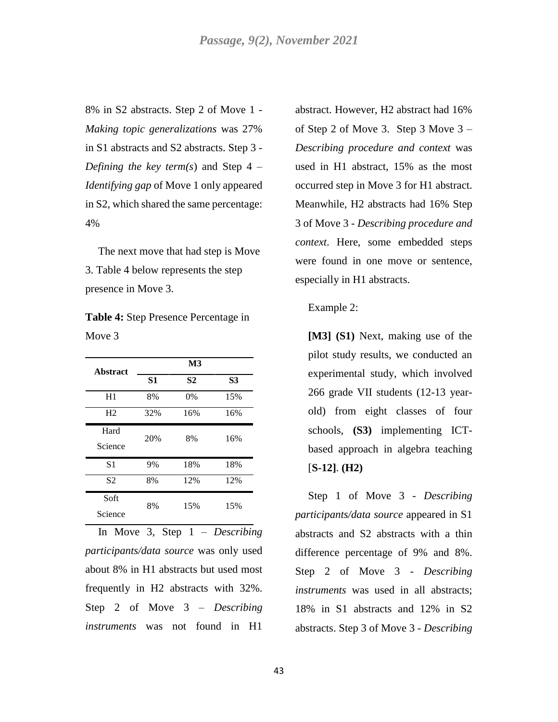8% in S2 abstracts. Step 2 of Move 1 - *Making topic generalizations* was 27% in S1 abstracts and S2 abstracts. Step 3 - *Defining the key term(s)* and Step  $4 -$ *Identifying gap* of Move 1 only appeared in S2, which shared the same percentage: 4%

The next move that had step is Move 3. Table 4 below represents the step presence in Move 3.

|        | <b>Table 4:</b> Step Presence Percentage in |  |
|--------|---------------------------------------------|--|
| Move 3 |                                             |  |

| <b>Abstract</b> |                | M <sub>3</sub> |     |
|-----------------|----------------|----------------|-----|
|                 | S <sub>1</sub> | S <sub>2</sub> | S3  |
| H1              | 8%             | $0\%$          | 15% |
| H <sub>2</sub>  | 32%            | 16%            | 16% |
| Hard            | 20%            | 8%             | 16% |
| Science         |                |                |     |
| S <sub>1</sub>  | 9%             | 18%            | 18% |
| S <sub>2</sub>  | 8%             | 12%            | 12% |
| Soft            | 8%             | 15%            | 15% |
| Science         |                |                |     |

In Move 3, Step 1 – *Describing participants/data source* was only used about 8% in H1 abstracts but used most frequently in H2 abstracts with 32%. Step 2 of Move 3 – *Describing instruments* was not found in H1

abstract. However, H2 abstract had 16% of Step 2 of Move 3. Step 3 Move 3 – *Describing procedure and context* was used in H1 abstract, 15% as the most occurred step in Move 3 for H1 abstract. Meanwhile, H2 abstracts had 16% Step 3 of Move 3 - *Describing procedure and context*. Here, some embedded steps were found in one move or sentence, especially in H1 abstracts.

#### Example 2:

**[M3] (S1)** Next, making use of the pilot study results, we conducted an experimental study, which involved 266 grade VII students (12-13 yearold) from eight classes of four schools, **(S3)** implementing ICTbased approach in algebra teaching [**S-12]**. **(H2)**

Step 1 of Move 3 - *Describing participants/data source* appeared in S1 abstracts and S2 abstracts with a thin difference percentage of 9% and 8%. Step 2 of Move 3 - *Describing instruments* was used in all abstracts; 18% in S1 abstracts and 12% in S2 abstracts. Step 3 of Move 3 - *Describing*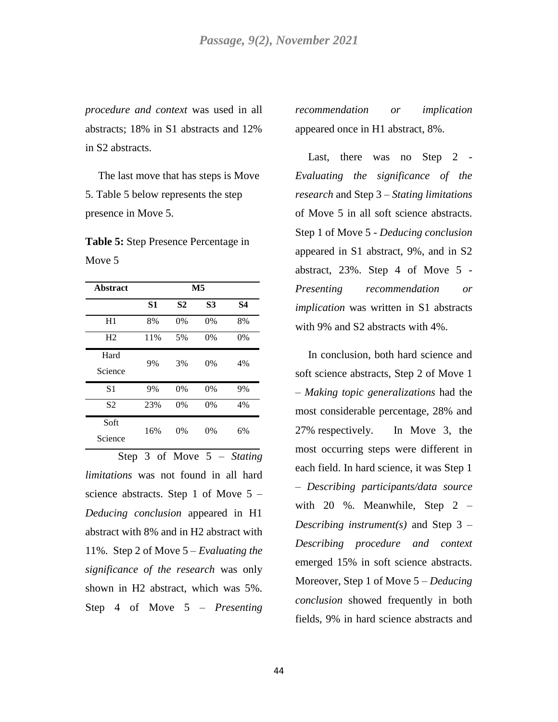*procedure and context* was used in all abstracts; 18% in S1 abstracts and 12% in S2 abstracts.

The last move that has steps is Move 5. Table 5 below represents the step presence in Move 5.

**Table 5:** Step Presence Percentage in Move 5

| <b>Abstract</b> |                |                | $\overline{\mathbf{M}}$ 5 |           |
|-----------------|----------------|----------------|---------------------------|-----------|
|                 | S <sub>1</sub> | S <sub>2</sub> | <b>S3</b>                 | <b>S4</b> |
| H1              | 8%             | 0%             | $0\%$                     | 8%        |
| H <sub>2</sub>  | 11%            | 5%             | 0%                        | 0%        |
| Hard            | 9%             | 3%             | $0\%$                     | 4%        |
| Science         |                |                |                           |           |
| S1              | 9%             | 0%             | 0%                        | 9%        |
| S <sub>2</sub>  | 23%            | 0%             | 0%                        | 4%        |
| Soft            | 16%            | $0\%$          | 0%                        | 6%        |
| Science         |                |                |                           |           |

Step 3 of Move 5 – *Stating limitations* was not found in all hard science abstracts. Step 1 of Move 5 – *Deducing conclusion* appeared in H1 abstract with 8% and in H2 abstract with 11%. Step 2 of Move 5 – *Evaluating the significance of the research* was only shown in H2 abstract, which was 5%. Step 4 of Move 5 – *Presenting* 

*recommendation or implication* appeared once in H1 abstract, 8%.

Last, there was no Step 2 -*Evaluating the significance of the research* and Step 3 – *Stating limitations* of Move 5 in all soft science abstracts. Step 1 of Move 5 - *Deducing conclusion* appeared in S1 abstract, 9%, and in S2 abstract, 23%. Step 4 of Move 5 - *Presenting recommendation or implication* was written in S1 abstracts with 9% and S2 abstracts with 4%.

In conclusion, both hard science and soft science abstracts, Step 2 of Move 1 – *Making topic generalizations* had the most considerable percentage, 28% and 27% respectively. In Move 3, the most occurring steps were different in each field. In hard science, it was Step 1 – *Describing participants/data source*  with 20 %. Meanwhile, Step 2 – *Describing instrument(s)* and Step 3 – *Describing procedure and context* emerged 15% in soft science abstracts. Moreover, Step 1 of Move 5 – *Deducing conclusion* showed frequently in both fields, 9% in hard science abstracts and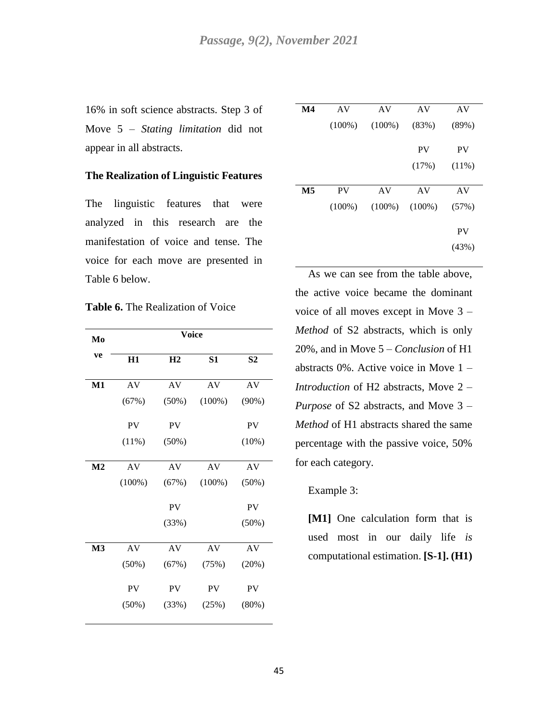16% in soft science abstracts. Step 3 of Move 5 – *Stating limitation* did not appear in all abstracts.

#### **The Realization of Linguistic Features**

The linguistic features that were analyzed in this research are the manifestation of voice and tense. The voice for each move are presented in Table 6 below.

**Table 6.** The Realization of Voice

| Mo             |           | <b>Voice</b>   |           |                |
|----------------|-----------|----------------|-----------|----------------|
| ve             | H1        | H <sub>2</sub> | S1        | S <sub>2</sub> |
| M1             | AV        | AV             | AV        | AV             |
|                | (67%)     | (50%)          | $(100\%)$ | (90%)          |
|                | PV        | PV             |           | PV             |
|                | (11%)     | (50%)          |           | (10%)          |
| M <sub>2</sub> | AV        | AV             | AV        | AV             |
|                | $(100\%)$ | (67%)          | $(100\%)$ | (50%)          |
|                |           | <b>PV</b>      |           | <b>PV</b>      |
|                |           | (33%)          |           | (50%)          |
| M <sub>3</sub> | AV        | AV             | AV        | AV             |
|                | (50%)     | (67%)          | (75%)     | (20%)          |
|                | <b>PV</b> | <b>PV</b>      | PV        | PV             |
|                | (50%)     | (33%)          | (25%)     | (80%)          |
|                |           |                |           |                |

| $\mathbf{M}4$             | AV        | AV        | AV        | AV        |
|---------------------------|-----------|-----------|-----------|-----------|
|                           | $(100\%)$ | $(100\%)$ | (83%)     | (89%)     |
|                           |           |           | <b>PV</b> | <b>PV</b> |
|                           |           |           | (17%)     | (11%)     |
| $\overline{\mathbf{M}}$ 5 | <b>PV</b> | AV        | AV        | AV        |
|                           |           |           |           |           |
|                           | $(100\%)$ | $(100\%)$ | $(100\%)$ | (57%)     |
|                           |           |           |           | <b>PV</b> |
|                           |           |           |           | (43%)     |

As we can see from the table above, the active voice became the dominant voice of all moves except in Move 3 – *Method* of S2 abstracts, which is only 20%, and in Move 5 – *Conclusion* of H1 abstracts 0%. Active voice in Move 1 – *Introduction* of H2 abstracts, Move 2 – *Purpose* of S2 abstracts, and Move 3 – *Method* of H1 abstracts shared the same percentage with the passive voice, 50% for each category.

#### Example 3:

**[M1]** One calculation form that is used most in our daily life *is*  computational estimation. **[S-1]. (H1)**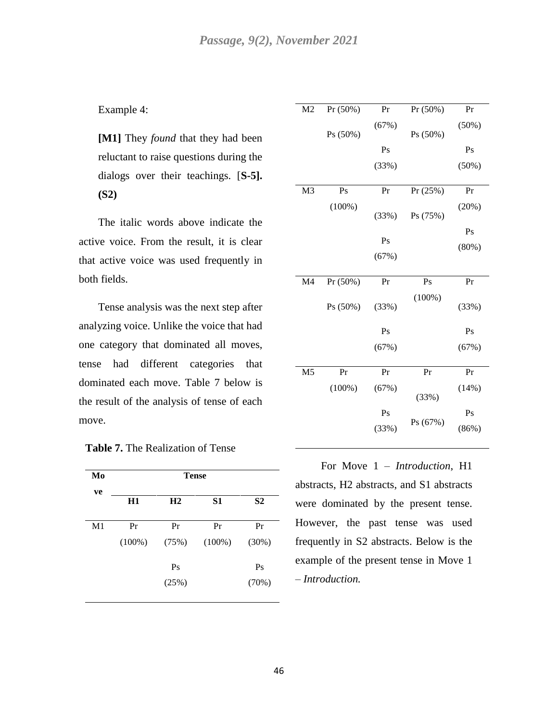### Example 4:

**[M1]** They *found* that they had been reluctant to raise questions during the dialogs over their teachings. [**S-5]. (S2)** 

The italic words above indicate the active voice. From the result, it is clear that active voice was used frequently in both fields.

Tense analysis was the next step after analyzing voice. Unlike the voice that had one category that dominated all moves, tense had different categories that dominated each move. Table 7 below is the result of the analysis of tense of each move.

## **Table 7.** The Realization of Tense

| Mo             | <b>Tense</b> |                |           |                |  |
|----------------|--------------|----------------|-----------|----------------|--|
| ve             | H1           | H <sub>2</sub> | S1        | S <sub>2</sub> |  |
| M <sub>1</sub> | Pr           | Pr             | Pr        | Pr             |  |
|                | $(100\%)$    | (75%)          | $(100\%)$ | (30%)          |  |
|                |              | Ps             |           | Ps             |  |
|                |              | (25%)          |           | (70%)          |  |

| M <sub>2</sub> | $Pr(50\%)$ | Pr    | $Pr(50\%)$ | Pr    |
|----------------|------------|-------|------------|-------|
|                | Ps(50%)    | (67%) | Ps(50%)    | (50%) |
|                |            | Ps    |            | Ps    |
|                |            | (33%) |            | (50%) |
|                |            |       |            |       |
| M <sub>3</sub> | Ps         | Pr    | Pr(25%)    | Pr    |
|                | $(100\%)$  | (33%) | Ps (75%)   | (20%) |
|                |            |       |            | Ps    |
|                |            | Ps    |            | (80%) |
|                |            | (67%) |            |       |
|                |            |       |            |       |
| M <sub>4</sub> | $Pr(50\%)$ | Pr    | Ps         | Pr    |
|                |            |       |            |       |
|                | Ps (50%)   | (33%) | $(100\%)$  | (33%) |
|                |            | Ps    |            | Ps    |
|                |            | (67%) |            | (67%) |
|                |            |       |            |       |
| M <sub>5</sub> | Pr         | Pr    | Pr         | Pr    |
|                | $(100\%)$  | (67%) | (33%)      | (14%) |
|                |            | Ps    |            | Ps    |

For Move 1 – *Introduction*, H1 abstracts, H2 abstracts, and S1 abstracts were dominated by the present tense. However, the past tense was used frequently in S2 abstracts. Below is the example of the present tense in Move 1 – *Introduction.*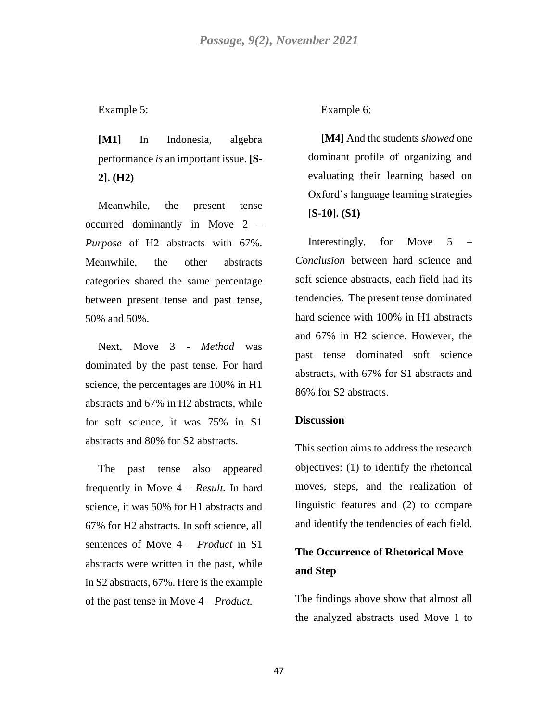## Example 5:

**[M1]** In Indonesia, algebra performance *is* an important issue. **[S-2]. (H2)**

Meanwhile, the present tense occurred dominantly in Move 2 – *Purpose* of H2 abstracts with 67%. Meanwhile, the other abstracts categories shared the same percentage between present tense and past tense, 50% and 50%.

Next, Move 3 - *Method* was dominated by the past tense. For hard science, the percentages are 100% in H1 abstracts and 67% in H2 abstracts, while for soft science, it was 75% in S1 abstracts and 80% for S2 abstracts.

The past tense also appeared frequently in Move 4 – *Result.* In hard science, it was 50% for H1 abstracts and 67% for H2 abstracts. In soft science, all sentences of Move 4 – *Product* in S1 abstracts were written in the past, while in S2 abstracts, 67%. Here is the example of the past tense in Move 4 – *Product.*

#### Example 6:

**[M4]** And the students *showed* one dominant profile of organizing and evaluating their learning based on Oxford's language learning strategies **[S-10]. (S1)**

Interestingly, for Move 5 – *Conclusion* between hard science and soft science abstracts, each field had its tendencies. The present tense dominated hard science with 100% in H1 abstracts and 67% in H2 science. However, the past tense dominated soft science abstracts, with 67% for S1 abstracts and 86% for S2 abstracts.

### **Discussion**

This section aims to address the research objectives: (1) to identify the rhetorical moves, steps, and the realization of linguistic features and (2) to compare and identify the tendencies of each field.

# **The Occurrence of Rhetorical Move and Step**

The findings above show that almost all the analyzed abstracts used Move 1 to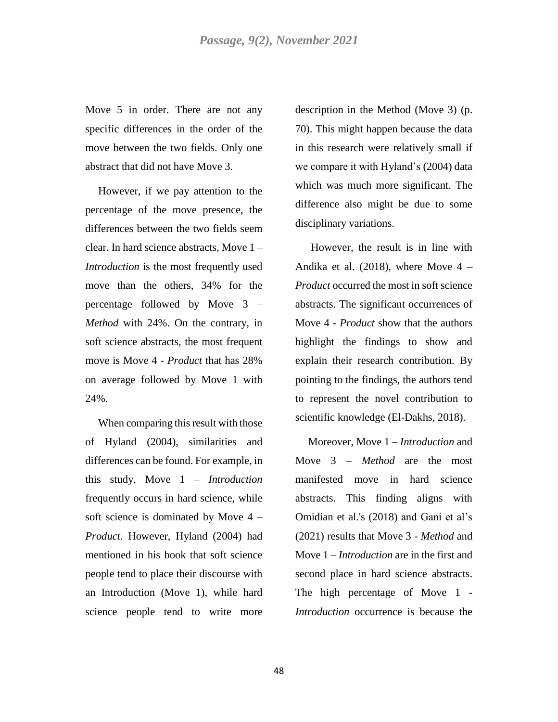Move 5 in order. There are not any specific differences in the order of the move between the two fields. Only one abstract that did not have Move 3.

However, if we pay attention to the percentage of the move presence, the differences between the two fields seem clear. In hard science abstracts, Move 1 – *Introduction* is the most frequently used move than the others, 34% for the percentage followed by Move 3 – *Method* with 24%. On the contrary, in soft science abstracts, the most frequent move is Move 4 - *Product* that has 28% on average followed by Move 1 with 24%.

When comparing this result with those of Hyland (2004), similarities and differences can be found. For example, in this study, Move 1 – *Introduction* frequently occurs in hard science, while soft science is dominated by Move 4 – *Product.* However, Hyland (2004) had mentioned in his book that soft science people tend to place their discourse with an Introduction (Move 1), while hard science people tend to write more

description in the Method (Move 3) (p. 70). This might happen because the data in this research were relatively small if we compare it with Hyland's (2004) data which was much more significant. The difference also might be due to some disciplinary variations.

However, the result is in line with Andika et al.  $(2018)$ , where Move 4 – *Product* occurred the most in soft science abstracts. The significant occurrences of Move 4 - *Product* show that the authors highlight the findings to show and explain their research contribution. By pointing to the findings, the authors tend to represent the novel contribution to scientific knowledge (El-Dakhs, 2018).

Moreover, Move 1 – *Introduction* and Move 3 – *Method* are the most manifested move in hard science abstracts. This finding aligns with Omidian et al.'s (2018) and Gani et al's (2021) results that Move 3 - *Method* and Move 1 – *Introduction* are in the first and second place in hard science abstracts. The high percentage of Move 1 - *Introduction* occurrence is because the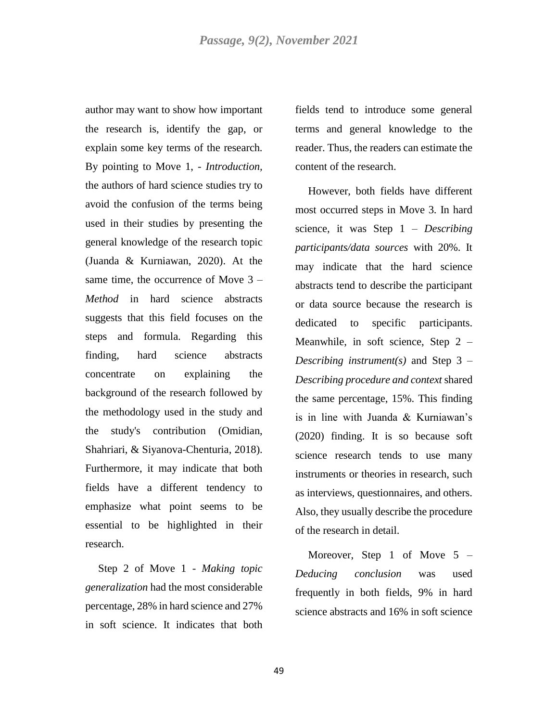author may want to show how important the research is, identify the gap, or explain some key terms of the research. By pointing to Move 1, - *Introduction,* the authors of hard science studies try to avoid the confusion of the terms being used in their studies by presenting the general knowledge of the research topic (Juanda & Kurniawan, 2020). At the same time, the occurrence of Move 3 – *Method* in hard science abstracts suggests that this field focuses on the steps and formula. Regarding this finding, hard science abstracts concentrate on explaining the background of the research followed by the methodology used in the study and the study's contribution (Omidian, Shahriari, & Siyanova-Chenturia, 2018). Furthermore, it may indicate that both fields have a different tendency to emphasize what point seems to be essential to be highlighted in their research.

Step 2 of Move 1 - *Making topic generalization* had the most considerable percentage, 28% in hard science and 27% in soft science. It indicates that both

fields tend to introduce some general terms and general knowledge to the reader. Thus, the readers can estimate the content of the research.

However, both fields have different most occurred steps in Move 3. In hard science, it was Step 1 – *Describing participants/data sources* with 20%. It may indicate that the hard science abstracts tend to describe the participant or data source because the research is dedicated to specific participants. Meanwhile, in soft science, Step 2 – *Describing instrument(s)* and Step 3 – *Describing procedure and context* shared the same percentage, 15%. This finding is in line with Juanda & Kurniawan's (2020) finding. It is so because soft science research tends to use many instruments or theories in research, such as interviews, questionnaires, and others. Also, they usually describe the procedure of the research in detail.

Moreover, Step 1 of Move  $5 -$ *Deducing conclusion* was used frequently in both fields, 9% in hard science abstracts and 16% in soft science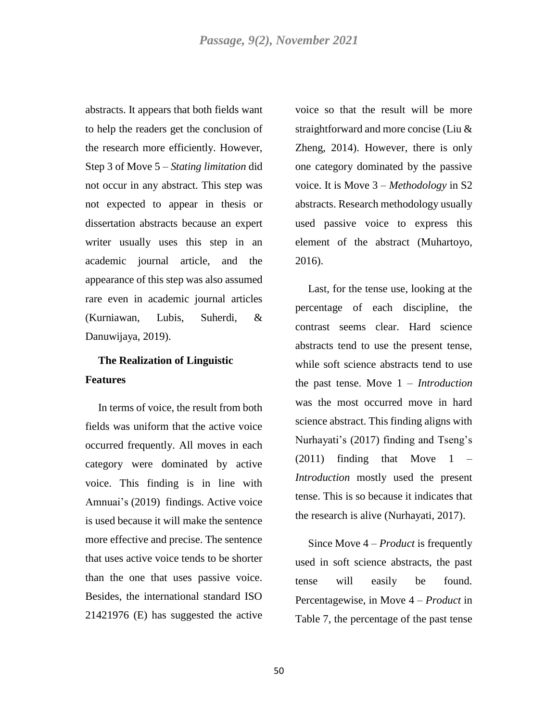abstracts. It appears that both fields want to help the readers get the conclusion of the research more efficiently. However, Step 3 of Move 5 – *Stating limitation* did not occur in any abstract. This step was not expected to appear in thesis or dissertation abstracts because an expert writer usually uses this step in an academic journal article, and the appearance of this step was also assumed rare even in academic journal articles (Kurniawan, Lubis, Suherdi, & Danuwijaya, 2019).

# **The Realization of Linguistic Features**

In terms of voice, the result from both fields was uniform that the active voice occurred frequently. All moves in each category were dominated by active voice. This finding is in line with Amnuai's (2019) findings. Active voice is used because it will make the sentence more effective and precise. The sentence that uses active voice tends to be shorter than the one that uses passive voice. Besides, the international standard ISO 21421976 (E) has suggested the active

voice so that the result will be more straightforward and more concise (Liu & Zheng, 2014). However, there is only one category dominated by the passive voice. It is Move 3 – *Methodology* in S2 abstracts. Research methodology usually used passive voice to express this element of the abstract (Muhartoyo, 2016).

Last, for the tense use, looking at the percentage of each discipline, the contrast seems clear. Hard science abstracts tend to use the present tense, while soft science abstracts tend to use the past tense. Move 1 – *Introduction*  was the most occurred move in hard science abstract. This finding aligns with Nurhayati's (2017) finding and Tseng's  $(2011)$  finding that Move  $1$  – *Introduction* mostly used the present tense. This is so because it indicates that the research is alive (Nurhayati, 2017).

Since Move 4 – *Product* is frequently used in soft science abstracts, the past tense will easily be found. Percentagewise, in Move 4 – *Product* in Table 7, the percentage of the past tense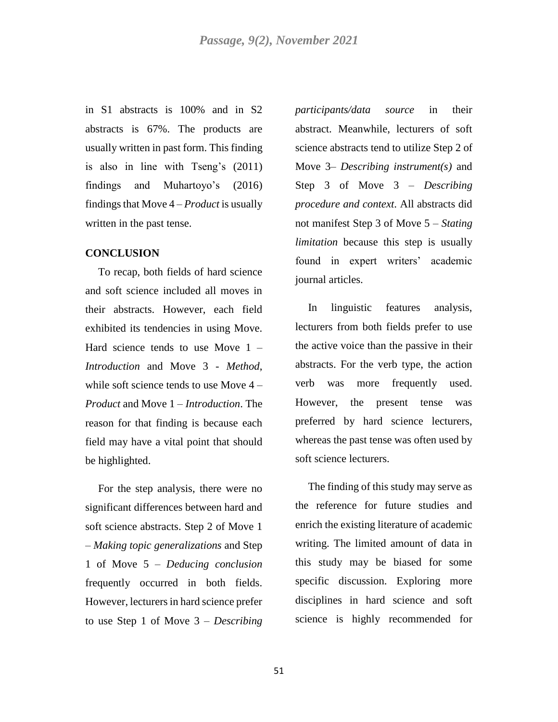in S1 abstracts is 100% and in S2 abstracts is 67%. The products are usually written in past form. This finding is also in line with Tseng's (2011) findings and Muhartoyo's (2016) findings that Move 4 – *Product* is usually written in the past tense.

#### **CONCLUSION**

To recap, both fields of hard science and soft science included all moves in their abstracts. However, each field exhibited its tendencies in using Move. Hard science tends to use Move 1 – *Introduction* and Move 3 - *Method*, while soft science tends to use Move 4 – *Product* and Move 1 – *Introduction*. The reason for that finding is because each field may have a vital point that should be highlighted.

For the step analysis, there were no significant differences between hard and soft science abstracts. Step 2 of Move 1 – *Making topic generalizations* and Step 1 of Move 5 – *Deducing conclusion*  frequently occurred in both fields. However, lecturers in hard science prefer to use Step 1 of Move 3 – *Describing* 

*participants/data source* in their abstract. Meanwhile, lecturers of soft science abstracts tend to utilize Step 2 of Move 3– *Describing instrument(s)* and Step 3 of Move 3 – *Describing procedure and context*. All abstracts did not manifest Step 3 of Move 5 – *Stating limitation* because this step is usually found in expert writers' academic journal articles.

In linguistic features analysis, lecturers from both fields prefer to use the active voice than the passive in their abstracts. For the verb type, the action verb was more frequently used. However, the present tense was preferred by hard science lecturers, whereas the past tense was often used by soft science lecturers.

The finding of this study may serve as the reference for future studies and enrich the existing literature of academic writing. The limited amount of data in this study may be biased for some specific discussion. Exploring more disciplines in hard science and soft science is highly recommended for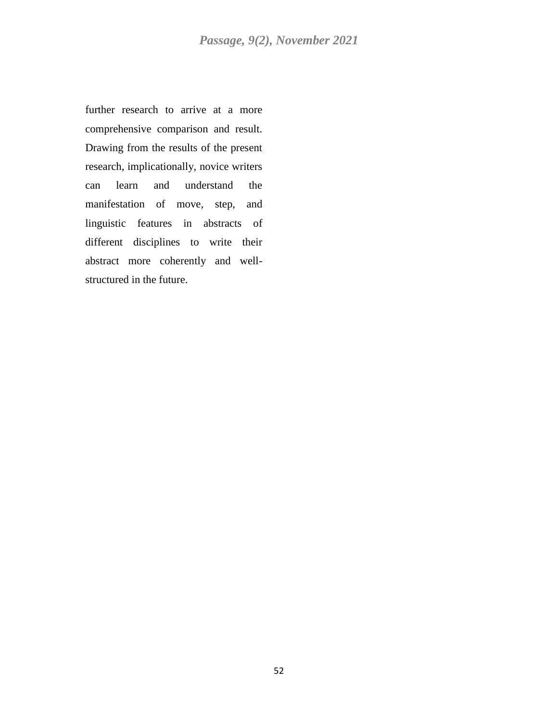further research to arrive at a more comprehensive comparison and result. Drawing from the results of the present research, implicationally, novice writers can learn and understand the manifestation of move, step, and linguistic features in abstracts of different disciplines to write their abstract more coherently and wellstructured in the future.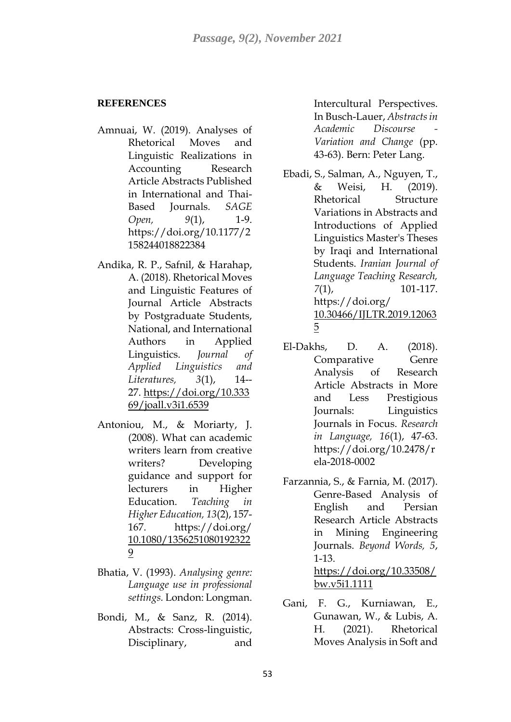# **REFERENCES**

- Amnuai, W. (2019). Analyses of Rhetorical Moves and Linguistic Realizations in Accounting Research Article Abstracts Published in International and Thai-Based Journals. *SAGE Open, 9*(1), 1-9. https://doi.org/10.1177/2 158244018822384
- Andika, R. P., Safnil, & Harahap, A. (2018). Rhetorical Moves and Linguistic Features of Journal Article Abstracts by Postgraduate Students, National, and International Authors in Applied Linguistics. *Journal of Applied Linguistics and Literatures, 3*(1), 14-- 27. [https://doi.org/10.333](https://doi.org/10.33369/joall.v3i1.6539) [69/joall.v3i1.6539](https://doi.org/10.33369/joall.v3i1.6539)
- Antoniou, M., & Moriarty, J. (2008). What can academic writers learn from creative writers? Developing guidance and support for lecturers in Higher Education. *Teaching in Higher Education, 13*(2), 157- 167. https://doi.org/ [10.1080/1356251080192322](https://www.researchgate.net/deref/http%3A%2F%2Fdx.doi.org%2F10.1080%2F13562510801923229?_sg%5B0%5D=QSNn2pX1sCuXYrIy6IU1OjpI3aNW6ukJCl_JXkXxfbgH5JSHmO_qtWDuVVqxgij6OS0ykPgN2hg-e4XGkEBfpQFvmw.lZUVOk1r8Ntaq70yVGHQsMdYV0SjCXRFw3wK4Sq4hyfyoZ30trTmt_8lw1b1JO2Foa-1zUBbwALK_LJgYLkSjA) [9](https://www.researchgate.net/deref/http%3A%2F%2Fdx.doi.org%2F10.1080%2F13562510801923229?_sg%5B0%5D=QSNn2pX1sCuXYrIy6IU1OjpI3aNW6ukJCl_JXkXxfbgH5JSHmO_qtWDuVVqxgij6OS0ykPgN2hg-e4XGkEBfpQFvmw.lZUVOk1r8Ntaq70yVGHQsMdYV0SjCXRFw3wK4Sq4hyfyoZ30trTmt_8lw1b1JO2Foa-1zUBbwALK_LJgYLkSjA)
- Bhatia, V. (1993). *Analysing genre: Language use in professional settings.* London: Longman.
- Bondi, M., & Sanz, R. (2014). Abstracts: Cross-linguistic, Disciplinary, and

Intercultural Perspectives. In Busch-Lauer, *Abstracts in Academic Discourse - Variation and Change* (pp. 43-63). Bern: Peter Lang.

- Ebadi, S., Salman, A., Nguyen, T., & Weisi, H. (2019). Rhetorical Structure Variations in Abstracts and Introductions of Applied Linguistics Master's Theses by Iraqi and International Students. *Iranian Journal of Language Teaching Research, 7*(1), 101-117. https://doi.org/ [10.30466/IJLTR.2019.12063](https://dx.doi.org/10.30466/ijltr.2019.120635) [5](https://dx.doi.org/10.30466/ijltr.2019.120635)
- El-Dakhs, D. A. (2018). Comparative Genre Analysis of Research Article Abstracts in More and Less Prestigious Journals: Linguistics Journals in Focus. *Research in Language, 16*(1), 47-63. https://doi.org/10.2478/r ela-2018-0002
- Farzannia, S., & Farnia, M. (2017). Genre-Based Analysis of English and Persian Research Article Abstracts in Mining Engineering Journals. *Beyond Words, 5*, 1-13. [https://doi.org/10.33508/](https://doi.org/10.33508/bw.v5i1.1111) [bw.v5i1.1111](https://doi.org/10.33508/bw.v5i1.1111)
- Gani, F. G., Kurniawan, E., Gunawan, W., & Lubis, A. H. (2021). Rhetorical Moves Analysis in Soft and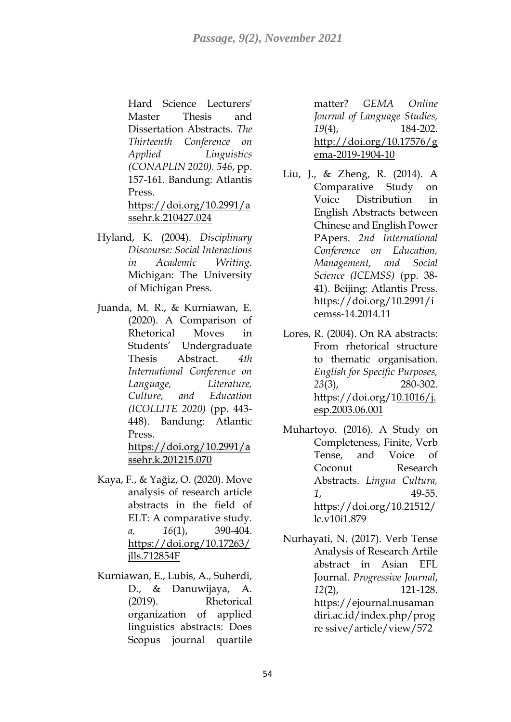Hard Science Lecturers' Master Thesis and Dissertation Abstracts. *The Thirteenth Conference on Applied Linguistics (CONAPLIN 2020). 546*, pp. 157-161. Bandung: Atlantis Press. [https://doi.org/10.2991/a](https://dx.doi.org/10.2991/assehr.k.210427.024) [ssehr.k.210427.024](https://dx.doi.org/10.2991/assehr.k.210427.024)

- Hyland, K. (2004). *Disciplinary Discourse: Social Interactions in Academic Writing.* Michigan: The University of Michigan Press.
- Juanda, M. R., & Kurniawan, E. (2020). A Comparison of Rhetorical Moves in Students' Undergraduate Thesis Abstract. *4th International Conference on Language, Literature, Culture, and Education (ICOLLITE 2020)* (pp. 443- 448). Bandung: Atlantic Press. [https://doi.org/10.2991/a](https://dx.doi.org/10.2991/assehr.k.201215.070)

[ssehr.k.201215.070](https://dx.doi.org/10.2991/assehr.k.201215.070)

- Kaya, F., & Yağiz, O. (2020). Move analysis of research article abstracts in the field of ELT: A comparative study. *a, 16*(1), 390-404. [https://doi.org/10.17263/](https://doi.org/10.17263/jlls.712854F) [jlls.712854F](https://doi.org/10.17263/jlls.712854F)
- Kurniawan, E., Lubis, A., Suherdi, D., & Danuwijaya, A. (2019). Rhetorical organization of applied linguistics abstracts: Does Scopus journal quartile

matter? *GEMA Online Journal of Language Studies, 19*(4), 184-202. [http://doi.org/10.17576/g](http://doi.org/10.17576/gema-2019-1904-10) [ema-2019-1904-10](http://doi.org/10.17576/gema-2019-1904-10)

- Liu, J., & Zheng, R. (2014). A Comparative Study on Voice Distribution in English Abstracts between Chinese and English Power PApers. *2nd International Conference on Education, Management, and Social Science (ICEMSS)* (pp. 38- 41). Beijing: Atlantis Press. https://doi.org/10.2991/i cemss-14.2014.11
- Lores, R. (2004). On RA abstracts: From rhetorical structure to thematic organisation. *English for Specific Purposes, 23*(3), 280-302. https://doi.org/[10.1016/j.](http://dx.doi.org/10.1016/j.esp.2003.06.001) [esp.2003.06.001](http://dx.doi.org/10.1016/j.esp.2003.06.001)
- Muhartoyo. (2016). A Study on Completeness, Finite, Verb Tense, and Voice of Coconut Research Abstracts. *Lingua Cultura, 1*, 49-55. https://doi.org/10.21512/ lc.v10i1.879
- Nurhayati, N. (2017). Verb Tense Analysis of Research Artile abstract in Asian EFL Journal. *Progressive Journal*, *12*(2), 121-128. https://ejournal.nusaman diri.ac.id/index.php/prog re ssive/article/view/572